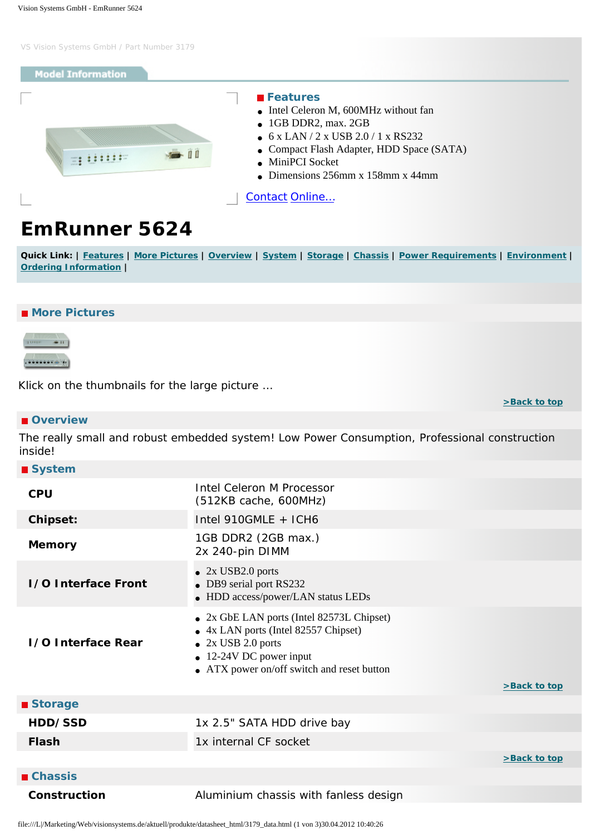### <span id="page-0-6"></span>**Model Information**

<span id="page-0-0"></span>

### **Features**

- Intel Celeron M, 600MHz without fan
- 1GB DDR2, max. 2GB
- 6 x LAN / 2 x USB 2.0 / 1 x RS232
- Compact Flash Adapter, HDD Space (SATA)

**[>Back to top](#page-0-6)** 

- MiniPCI Socket
- Dimensions  $256$ mm x  $158$ mm x  $44$ mm

[Contact](http://www.visionsystems.de/contactus.htm) [Online…](http://www.visionsystems.de/produkte/3179.html)

# **EmRunner 5624**

Quick Link: | [Features](#page-0-0) | [More Pictures](#page-0-1) | [Overview](#page-0-2) | [System](#page-0-3) | [Storage](#page-0-4) | [Chassis](#page-0-5) | [Power Requirements](#page-1-0) | [Environment](#page-1-1) | **[Ordering Information](#page-1-2) |**

## <span id="page-0-1"></span>■ More Pictures



Klick on the thumbnails for the large picture …

#### <span id="page-0-2"></span> **Overview**

The really small and robust embedded system! Low Power Consumption, Professional construction inside!

<span id="page-0-5"></span><span id="page-0-4"></span><span id="page-0-3"></span>

| ■ System                   |                                                                                                                                                                                      |              |
|----------------------------|--------------------------------------------------------------------------------------------------------------------------------------------------------------------------------------|--------------|
| <b>CPU</b>                 | Intel Celeron M Processor<br>(512KB cache, 600MHz)                                                                                                                                   |              |
| <b>Chipset:</b>            | Intel 910GMLE + ICH6                                                                                                                                                                 |              |
| <b>Memory</b>              | 1GB DDR2 (2GB max.)<br>2x 240-pin DIMM                                                                                                                                               |              |
| <b>1/0 Interface Front</b> | $\bullet$ 2x USB2.0 ports<br>DB9 serial port RS232<br>• HDD access/power/LAN status LEDs                                                                                             |              |
| 1/0 Interface Rear         | • 2x GbE LAN ports (Intel 82573L Chipset)<br>4x LAN ports (Intel 82557 Chipset)<br>2x USB 2.0 ports<br>$\bullet$ 12-24V DC power input<br>• ATX power on/off switch and reset button | >Back to top |
| ■ Storage                  |                                                                                                                                                                                      |              |
| HDD/SSD                    | 1x 2.5" SATA HDD drive bay                                                                                                                                                           |              |
| <b>Flash</b>               | 1x internal CF socket                                                                                                                                                                |              |
|                            |                                                                                                                                                                                      | >Back to top |
| <b>■ Chassis</b>           |                                                                                                                                                                                      |              |
| <b>Construction</b>        | Aluminium chassis with fanless design                                                                                                                                                |              |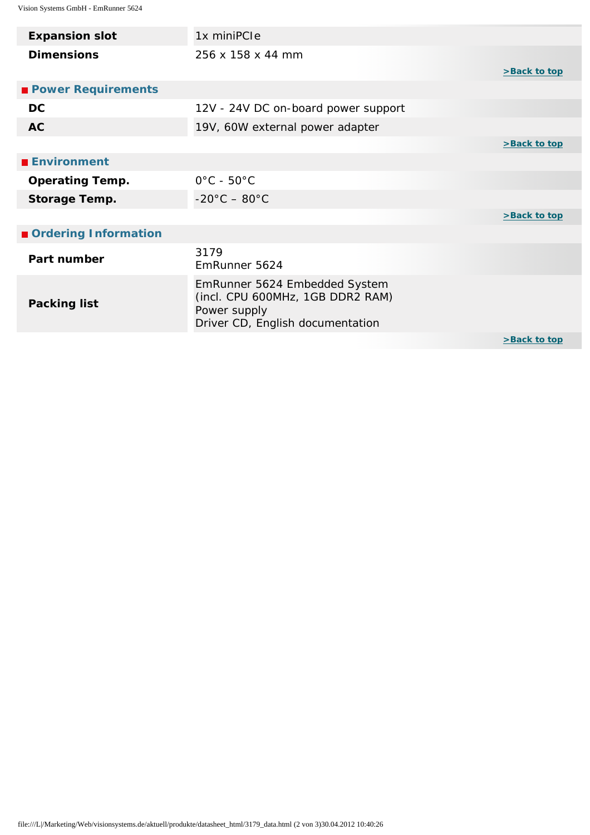<span id="page-1-2"></span><span id="page-1-1"></span><span id="page-1-0"></span>

| <b>Expansion slot</b>     | 1x miniPCle                                                                                                           |              |
|---------------------------|-----------------------------------------------------------------------------------------------------------------------|--------------|
| <b>Dimensions</b>         | 256 x 158 x 44 mm                                                                                                     | >Back to top |
| <b>Power Requirements</b> |                                                                                                                       |              |
| <b>DC</b>                 | 12V - 24V DC on-board power support                                                                                   |              |
| <b>AC</b>                 | 19V, 60W external power adapter                                                                                       |              |
|                           |                                                                                                                       | >Back to top |
| <b>Environment</b>        |                                                                                                                       |              |
| <b>Operating Temp.</b>    | $0^{\circ}$ C - 50 $^{\circ}$ C                                                                                       |              |
| <b>Storage Temp.</b>      | $-20^{\circ}$ C $-80^{\circ}$ C                                                                                       |              |
|                           |                                                                                                                       | >Back to top |
| Ordering Information      |                                                                                                                       |              |
| Part number               | 3179<br>EmRunner 5624                                                                                                 |              |
| <b>Packing list</b>       | EmRunner 5624 Embedded System<br>(incl. CPU 600MHz, 1GB DDR2 RAM)<br>Power supply<br>Driver CD, English documentation |              |
|                           |                                                                                                                       | >Back to top |